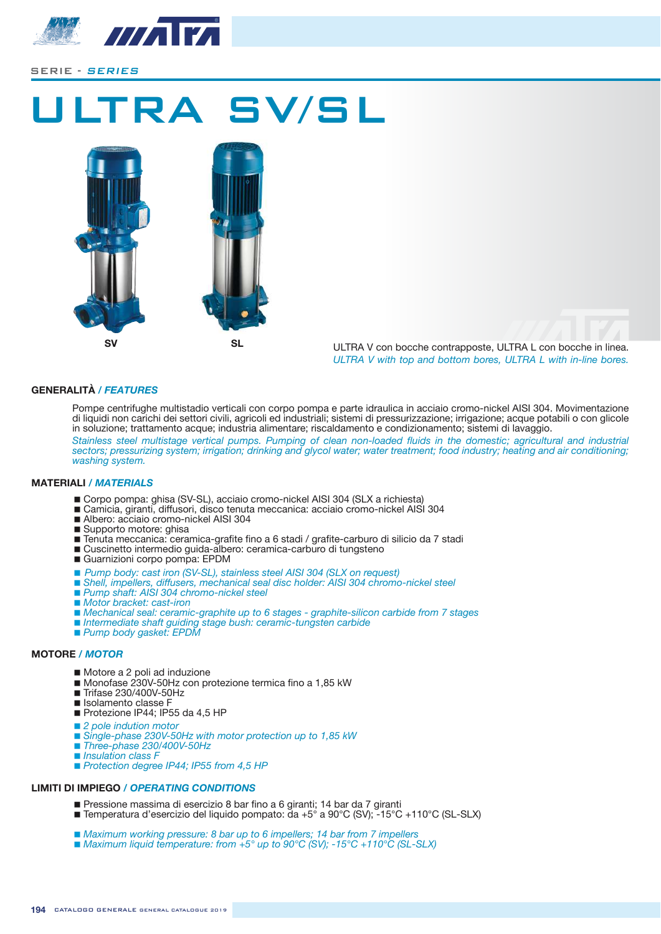

# 'RA SV/SL





ULTRA V con bocche contrapposte, ULTRA L con bocche in linea. *ULTRA V with top and bottom bores, ULTRA L with in-line bores.*

#### **GENERALITÀ** */ FEATURES*

Pompe centrifughe multistadio verticali con corpo pompa e parte idraulica in acciaio cromo-nickel AISI 304. Movimentazione Tompo commission manerality verticals on experipency parte ratealled in accidio creme merchanological momentum<br>di liquidi non carichi dei settori civili, agricoli ed industriali; sistemi di pressurizzazione; irrigazione; a in soluzione; trattamento acque; industria alimentare; riscaldamento e condizionamento; sistemi di lavaggio.

Stainless steel multistage vertical pumps. Pumping of clean non-loaded fluids in the domestic; agricultural and industrial *zectors; pressurizing system; irrigation; drinking and glycol water; water treatment; food industry; heating and air conditioning; washing system.*

#### **MATERIALI / MATERIALS**

- Corpo pompa: ghisa (SV-SL), acciaio cromo-nickel AISI 304 (SLX a richiesta)
- Comport Princh Strate (Cr. 2007) contenuta meccanica: acciaio cromo-nickel AISI 304
- Albero: acciaio cromo-nickel AISI 304
- Supporto motore: ghisa
- E explore moters, given
- Cuscinetto intermedio guida-albero: ceramica-carburo di tungsteno
- Guarnizioni corpo pompa: EPDM
- **7** Pump body: cast iron (SV-SL), stainless steel AISI 304 (SLX on request)
- *Shell, impellers, diffusers, mechanical seal disc holder: AISI 304 chromo-nickel steel*
- *Pump shaft: AISI 304 chromo-nickel steel*
- *Motor bracket: cast-iron*
- *Mechanical seal: ceramic-graphite up to 6 stages graphite-silicon carbide from 7 stages*
- *Intermediate shaft guiding stage bush: ceramic-tungsten carbide*
- *Pump body gasket: EPDM*

#### **MOTORE** */ MOTOR*

- Motore a 2 poli ad induzione
- Monofase 230V-50Hz con protezione termica fino a 1,85 kW
- Trifase 230/400V-50Hz
- **Isolamento classe F**
- Protezione IP44; IP55 da 4,5 HP
- 2 *pole indution motor*
- *Single-phase 230V-50Hz with motor protection up to 1,85 kW*
- *Three-phase 230/400V-50Hz*
- *Insulation class F*
- *7Protection degree IP44; IP55 from 4.5 HP*

#### **LIMITI DI IMPIEGO** */ OPERATING CONDITIONS*

- Pressione massima di esercizio 8 bar fino a 6 giranti; 14 bar da 7 giranti **The Temperatura d'esercizio del liquido pompato: da +5° a 90°C (SV); -15°C +110°C (SL-SLX)**
- 
- Maximum working pressure: 8 bar up to 6 impellers; 14 bar from 7 impellers
- $\blacksquare$  *Maximum liquid temperature: from +5° up to 90°C (SV): -15°C +110°C (SL-SLX)*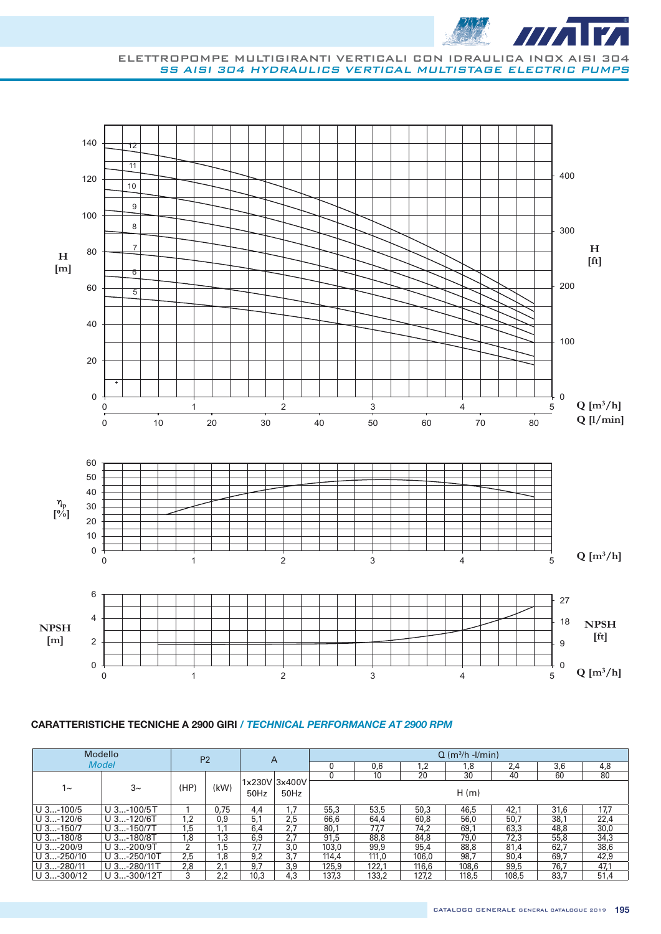

#### ELETTROPOMPE MULTIGIRANTI VERTICALI CON IDRAULICA INOX AISI 304 SS AISI 304 HYDRAULICS VERTICAL MULTISTAGE ELECTRIC PUMPS



|              | Modello       |      | P <sub>2</sub> |                | A               |       |       |            | $Q$ (m <sup>3</sup> /h -l/min) |       |      |      |
|--------------|---------------|------|----------------|----------------|-----------------|-------|-------|------------|--------------------------------|-------|------|------|
|              | <b>Model</b>  |      |                |                |                 | 0     | 0,6   | $\cdot$ .2 | .8                             | 2,4   | 3,6  | 4,8  |
|              |               |      |                |                |                 |       | 10    | 20         | 30                             | 40    | 60   | 80   |
| $1 -$        | $3-$          | (HP) | (kW)           | 1x230V<br>50Hz | 3x400V<br>50Hz  |       |       |            | H(m)                           |       |      |      |
| $U$ 3-100/5  | $U$ 3-100/5T  |      | 0.75           | 4,4            | $\overline{.7}$ | 55.3  | 53.5  | 50.3       | 46.5                           | 42,1  | 31,6 | 17,7 |
| $U$ 3-120/6  | $U$ 3-120/6T  | 1,2  | 0.9            | 5.1            | 2.5             | 66.6  | 64.4  | 60.8       | 56.0                           | 50.7  | 38.1 | 22,4 |
| $U$ 3-150/7  | $U$ 3-150/7T  | 1,5  | .1             | 6,4            | 2.7             | 80,1  | 77.7  | 74.2       | 69.1                           | 63,3  | 48,8 | 30,0 |
| $U$ 3-180/8  | $U$ 3-180/8T  | 1,8  | 3, ا           | 6,9            | 2,7             | 91,5  | 88,8  | 84.8       | 79.0                           | 72.3  | 55,8 | 34,3 |
| $U$ 3-200/9  | $U$ 3-200/9T  | 2    | .5             | 7,7            | 3,0             | 103.0 | 99,9  | 95,4       | 88.8                           | 81,4  | 62,7 | 38,6 |
| $U$ 3-250/10 | $U$ 3-250/10T | 2.5  | . 8            | 9,2            | 3.7             | 114.4 | 111.0 | 106.0      | 98,7                           | 90,4  | 69,7 | 42,9 |
| $U$ 3-280/11 | $U$ 3-280/11T | 2,8  | 2,1            | 9,7            | 3,9             | 125.9 | 122,1 | 116.6      | 108.6                          | 99,5  | 76.7 | 47,1 |
| $U$ 3-300/12 | U 3-300/12T   | 3    | 2.2            | 10.3           | 4.3             | 137,3 | 133.2 | 127.2      | 118.5                          | 108.5 | 83,7 | 51,4 |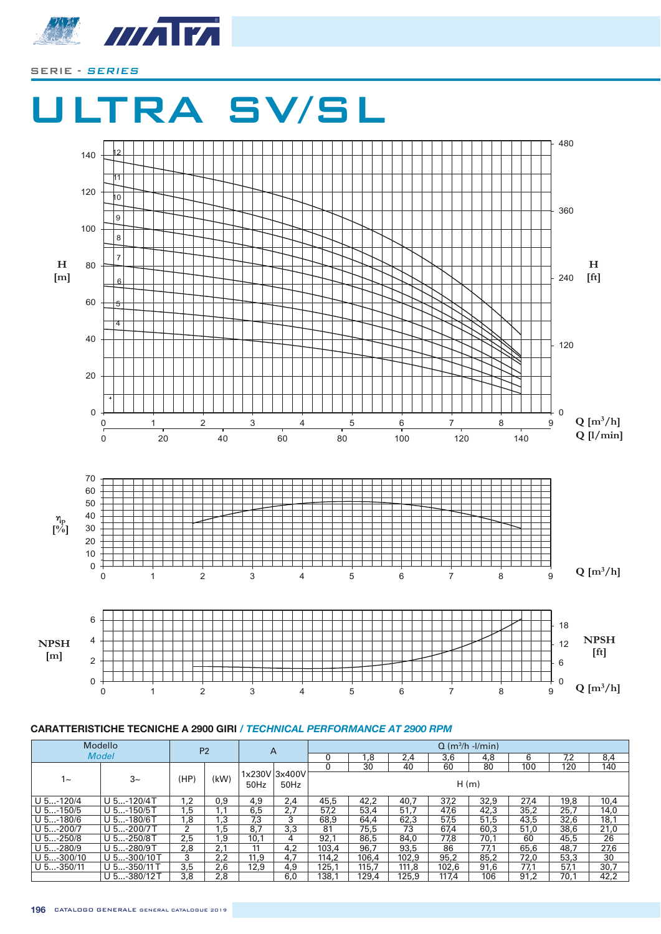



|              | Modello        |      | P <sub>2</sub> |      | A                     |       |       |       | $Q$ (m <sup>3</sup> /h -l/min) |      |      |      |      |
|--------------|----------------|------|----------------|------|-----------------------|-------|-------|-------|--------------------------------|------|------|------|------|
|              | <b>Model</b>   |      |                |      |                       |       | 8, ا  | 2,4   | 3,6                            | 4,8  | 6    | 7.2  | 8,4  |
|              |                |      |                |      |                       |       | 30    | 40    | 60                             | 80   | 100  | 120  | 140  |
| $1 -$        | $3-$           | (HP) | (kW)           | 50Hz | 1x230V 3x400V<br>50Hz |       |       |       | H(m)                           |      |      |      |      |
| $U$ 5-120/4  | $U$ 5-120/4T   | 1.2  | 0,9            | 4,9  | 2,4                   | 45,5  | 42,2  | 40,7  | 37,2                           | 32,9 | 27.4 | 19,8 | 10,4 |
| $U$ 5-150/5  | $U$ 5-150/5T   | 1,5  | 1.1            | 6,5  | 2,7                   | 57.2  | 53,4  | 51.7  | 47.6                           | 42,3 | 35,2 | 25.7 | 14,0 |
| $U$ 5-180/6  | $U$ 5-180/6T   | 1,8  | 3, ا           | 7,3  | 3                     | 68.9  | 64.4  | 62,3  | 57,5                           | 51.5 | 43,5 | 32,6 | 18,1 |
| $U$ 5-200/7  | $U$ 5-200/7 T  | 2    | , 5            | 8,7  | 3,3                   | 81    | 75,5  | 73    | 67.4                           | 60.3 | 51,0 | 38,6 | 21,0 |
| $U$ 5-250/8  | $U$ 5-250/8T   | 2,5  | 9. ا           | 10,1 | 4                     | 92.1  | 86.5  | 84.0  | 77,8                           | 70.1 | 60   | 45,5 | 26   |
| $U$ 5-280/9  | $U$ 5-280/9T   | 2,8  | 2,1            | 11   | 4,2                   | 103,4 | 96.7  | 93,5  | 86                             | 77,1 | 65,6 | 48,7 | 27,6 |
| $U$ 5-300/10 | $U$ 5-300/10 T | 3    | 2,2            | 11,9 | 4,7                   | 114.2 | 106.4 | 102.9 | 95,2                           | 85.2 | 72,0 | 53,3 | 30   |
| $U$ 5-350/11 | $U$ 5-350/11 T | 3,5  | 2,6            | 12,9 | 4,9                   | 125.1 | 115.7 | 111.8 | 102.6                          | 91,6 | 77.1 | 57,1 | 30,7 |
|              | U 5-380/12T    | 3,8  | 2,8            |      | 6,0                   | 138.1 | 129.4 | 125,9 | 117.4                          | 106  | 91.2 | 70,1 | 42,2 |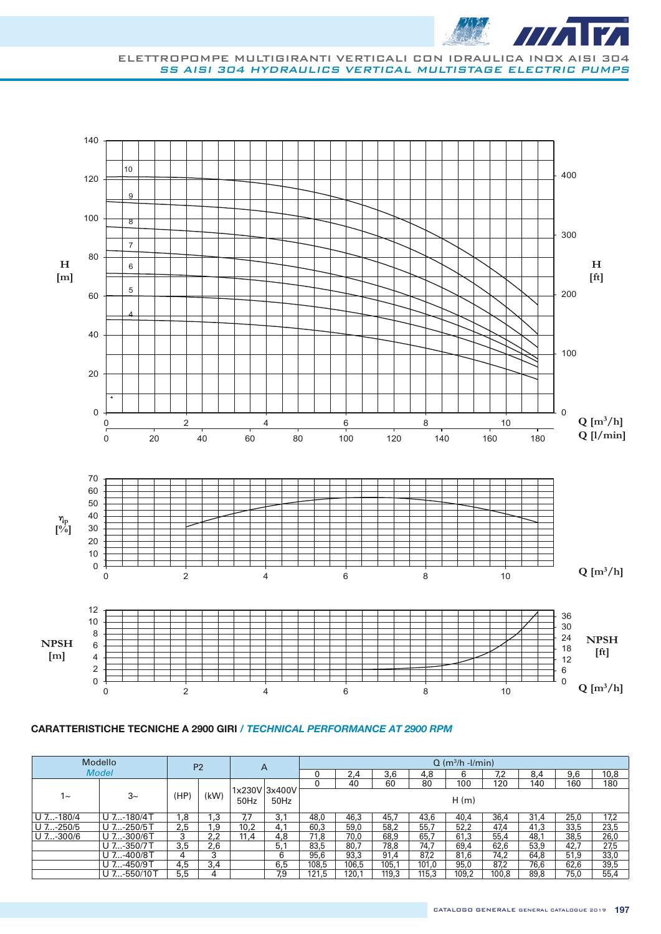



|           | Modello      |      | P <sub>2</sub> | A    |                       |       |       |       |       | $Q$ (m <sup>3</sup> /h -l/min) |       |      |      |      |
|-----------|--------------|------|----------------|------|-----------------------|-------|-------|-------|-------|--------------------------------|-------|------|------|------|
|           | <b>Model</b> |      |                |      |                       | 0     | 2,4   | 3.6   | 4,8   | 6                              | 7.2   | 8.4  | 9,6  | 10,8 |
|           |              |      |                |      |                       | 0     | 40    | 60    | 80    | 100                            | 120   | 140  | 160  | 180  |
| 1~        | $3-$         | (HP) | (kW)           | 50Hz | 1x230V 3x400V<br>50Hz |       |       |       |       | H(m)                           |       |      |      |      |
| U 7-180/4 | U 7-180/4T   | 8.   | 3. ا           |      | 3.1                   | 48.0  | 46,3  | 45,7  | 43.6  | 40.4                           | 36,4  | 31.4 | 25,0 | 17,2 |
| U 7-250/5 | U 7-250/5T   | 2.5  | 1,9            | 10.2 | 4.1                   | 60.3  | 59.0  | 58.2  | 55,7  | 52,2                           | 47.4  | 41.3 | 33,5 | 23,5 |
| U 7-300/6 | U 7-300/6T   | 3    | 2.2            | 11.4 | 4.8                   | 71.8  | 70.0  | 68,9  | 65,7  | 61.3                           | 55,4  | 48.1 | 38.5 | 26,0 |
|           | U 7-350/7T   | 3,5  | 2,6            |      | 5,1                   | 83,5  | 80,7  | 78.8  | 74.7  | 69,4                           | 62,6  | 53,9 | 42,7 | 27,5 |
|           | U 7-400/8T   | 4    | 3              |      | 6                     | 95,6  | 93,3  | 91,4  | 87,2  | 81,6                           | 74,2  | 64,8 | 51,9 | 33,0 |
|           | U 7-450/9T   | 4,5  | 3.4            |      | 6,5                   | 108.5 | 106.5 | 105.1 | 101.0 | 95.0                           | 87.2  | 76.6 | 62,6 | 39,5 |
|           | U 7-550/10 T | 5,5  | 4              |      | 7.9                   | 121.5 | 120.1 | 119.3 | 115,3 | 109.2                          | 100.8 | 89.8 | 75,0 | 55,4 |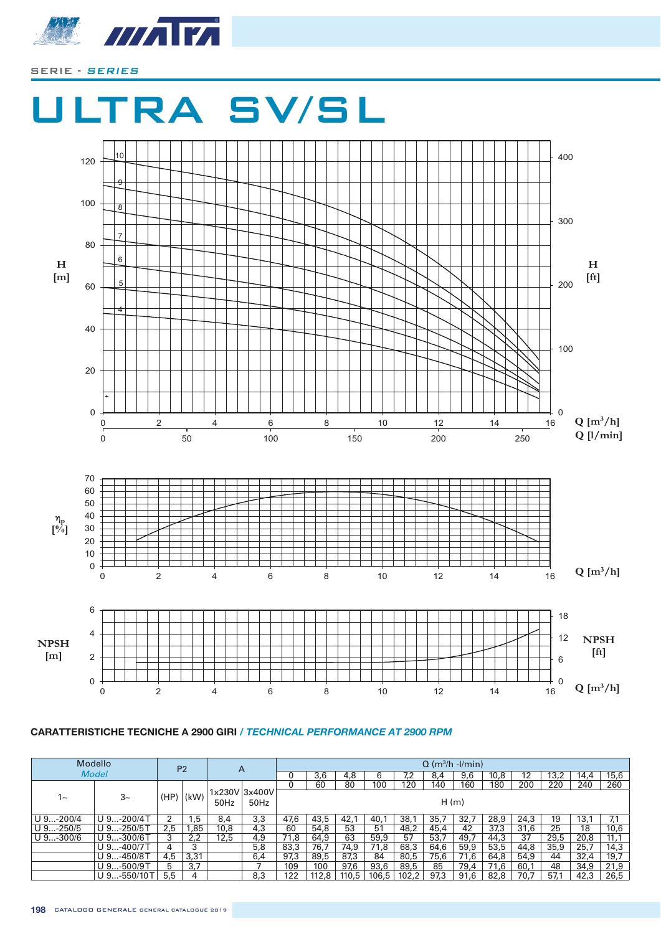



|           | <b>Modello</b> |      | P <sub>2</sub> |      | A             |      |       |       |       |      |      | $Q$ (m <sup>3</sup> /h -l/min) |      |      |      |      |      |
|-----------|----------------|------|----------------|------|---------------|------|-------|-------|-------|------|------|--------------------------------|------|------|------|------|------|
|           | <b>Model</b>   |      |                |      |               |      | 3,6   | 4.8   |       | 7.2  | 8.4  | 9,6                            | 10,8 | 12   | 13.2 | 14.4 | 15,6 |
|           |                |      |                |      |               |      | 60    | 80    | 100   | 120  | 140  | 160                            | 180  | 200  | 220  | 240  | 260  |
| 1~        | $3-$           | (HP) | (kW)           |      | 1x230V 3x400V |      |       |       |       |      |      |                                |      |      |      |      |      |
|           |                |      |                | 50Hz | 50Hz          |      |       |       |       |      | H(m) |                                |      |      |      |      |      |
|           |                |      |                |      |               |      |       |       |       |      |      |                                |      |      |      |      |      |
| U 9-200/4 | $U$ 9-200/4T   |      | .5             | 8,4  | 3,3           | 47,6 | 43,5  | 42,1  | 40,1  | 38.1 | 35,7 | 32,7                           | 28,9 | 24,3 | 19   | 13.1 | 7,1  |
| U 9-250/5 | $U$ 9-250/5T   | 2.5  | ,85            | 10,8 | 4,3           | 60   | 54,8  | 53    | 51    | 48.2 | 45,4 | 42                             | 37,3 | 31,6 | 25   | 18   | 10,6 |
| U 9-300/6 | $U$ 9-300/6T   | 3    | 2,2            | 12,5 | 4,9           | 71,8 | 64,9  | 63    | 59,9  | 57   | 53,7 | 49,7                           | 44,3 | 37   | 29,5 | 20,8 | 11,1 |
|           | $U$ 9-400/7 T  | 4    | 3              |      | 5,8           | 83,3 | 76,7  | 74,9  | 71,8  | 68,3 | 64,6 | 59,9                           | 53,5 | 44,8 | 35,9 | 25,7 | 14,3 |
|           | $U$ 9-450/8T   | 4,5  | 3,31           |      | 6.4           | 97,3 | 89.5  | 87,3  | 84    | 80.5 | 75.6 | 71.6                           | 64.8 | 54.9 | 44   | 32,4 | 19,7 |
|           | $U$ 9-500/9T   | 5    | 3.7            |      |               | 109  | 100   | 97,6  | 93,6  | 89,5 | 85   | 79,4                           | 71,6 | 60.1 | 48   | 34.9 | 21,9 |
|           | U 9-550/10T    | 5.5  | 4              |      | 8,3           | 122  | 112.8 | 110.5 | 106.5 | 102. | 97.3 | 91,6                           | 82.8 | 70.7 | 57.1 | 42.3 | 26,5 |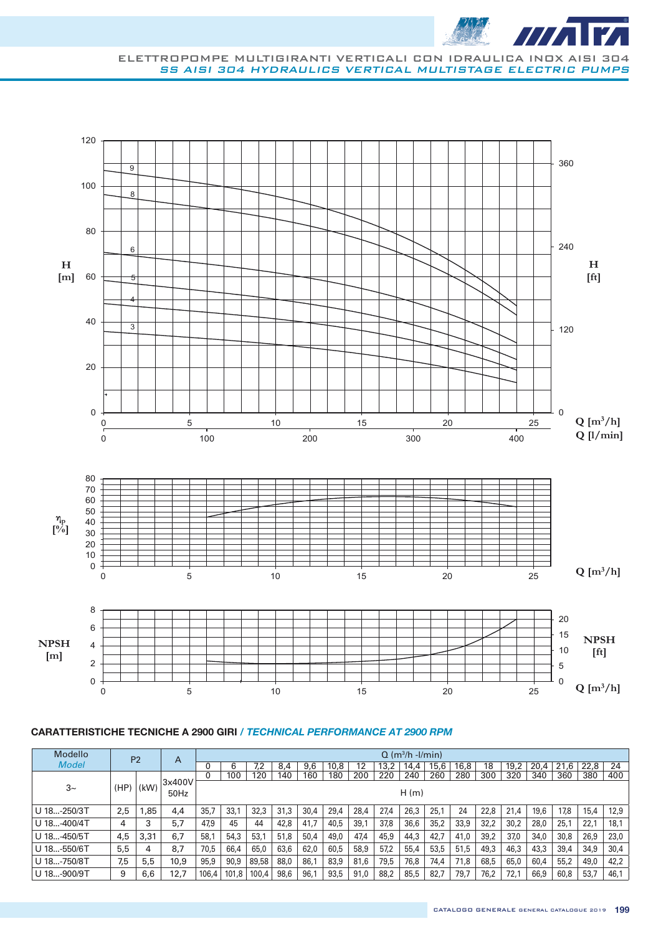



| Modello      |      | P <sub>2</sub> | A              |       |       |       |      |      |      |      |      | $Q$ (m <sup>3</sup> /h -l/min) |      |      |      |      |      |          |      |      |
|--------------|------|----------------|----------------|-------|-------|-------|------|------|------|------|------|--------------------------------|------|------|------|------|------|----------|------|------|
| <b>Model</b> |      |                |                |       | 6     | 7,2   | 8.4  | 9,6  | 10,8 | 12   | 13,2 | 14.4                           | 15,6 | 16,8 | 18   | 19,2 | 20.4 | .6<br>21 | 22,8 | 24   |
|              |      |                |                | 0     | 100   | 120   | 140  | 160  | 180  | 200  | 220  | 240                            | 260  | 280  | 300  | 320  | 340  | 360      | 380  | 400  |
| $3-$         | (HP) | (kW)           | 3x400V<br>50Hz |       |       |       |      |      |      |      |      | H(m)                           |      |      |      |      |      |          |      |      |
| U 18-250/3T  | 2,5  | .85,           | 4,4            | 35,7  | 33,1  | 32,3  | 31,3 | 30,4 | 29,4 | 28.4 | 27,4 | 26,3                           | 25,1 | 24   | 22,8 | 21.4 | 19.6 | 17.8     | 15,4 | 12,9 |
| U 18-400/4T  | 4    | 3              | 5,7            | 47,9  | 45    | 44    | 42,8 | 41,7 | 40,5 | 39.1 | 37,8 | 36,6                           | 35,2 | 33,9 | 32,2 | 30,2 | 28,0 | 25,1     | 22,1 | 18,1 |
| U 18-450/5T  | 4,5  | 3,31           | 6,7            | 58,1  | 54,3  | 53,1  | 51,8 | 50,4 | 49,0 | 47.4 | 45,9 | 44,3                           | 42,7 | 41,0 | 39,2 | 37,0 | 34,0 | 30,8     | 26,9 | 23,0 |
| U 18-550/6T  | 5,5  | 4              | 8,7            | 70,5  | 66.4  | 65,0  | 63,6 | 62,0 | 60,5 | 58.9 | 57,2 | 55,4                           | 53,5 | 51,5 | 49.3 | 46,3 | 43,3 | 39,4     | 34,9 | 30,4 |
| U 18-750/8T  | 7,5  | 5,5            | 10,9           | 95,9  | 90.9  | 89,58 | 88,0 | 86,1 | 83,9 | 81.6 | 79,5 | 76,8                           | 74,4 | 71,8 | 68,5 | 65,0 | 60,4 | 55,2     | 49,0 | 42,2 |
| U 18-900/9T  | 9    | 6,6            | 12,7           | 106.4 | 101.8 | 100,4 | 98.6 | 96,1 | 93,5 | 91.0 | 88,2 | 85,5                           | 82.7 | 79,7 | 76.2 | 72,1 | 66,9 | 60,8     | 53,7 | 46,1 |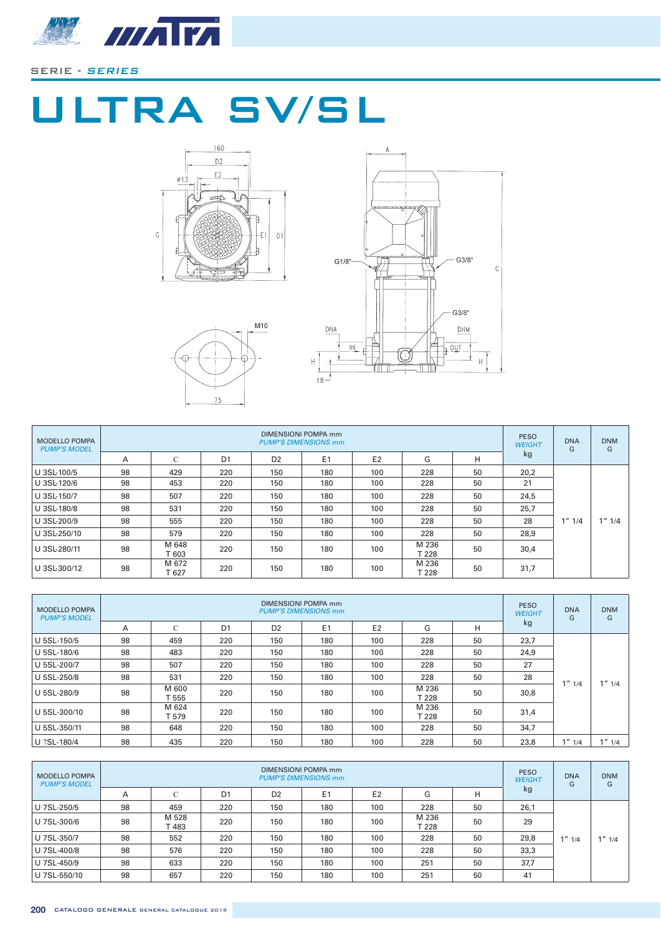

# ULTRA SV/SL







| MODELLO POMPA<br><b>PUMP'S MODEL</b> |    |                |                |                | DIMENSIONI POMPA mm<br><b>PUMP'S DIMENSIONS mm</b> |                |                |    | <b>PESO</b><br><b>WEIGHT</b> | <b>DNA</b><br>G | <b>DNM</b><br>G |
|--------------------------------------|----|----------------|----------------|----------------|----------------------------------------------------|----------------|----------------|----|------------------------------|-----------------|-----------------|
|                                      | A  | С              | D <sub>1</sub> | D <sub>2</sub> | E <sub>1</sub>                                     | E <sub>2</sub> | G              | н  | kg                           |                 |                 |
| U 3SL-100/5                          | 98 | 429            | 220            | 150            | 180                                                | 100            | 228            | 50 | 20,2                         |                 |                 |
| U 3SL-120/6                          | 98 | 453            | 220            | 150            | 180                                                | 100            | 228            | 50 | 21                           |                 |                 |
| U 3SL-150/7                          | 98 | 507            | 220            | 150            | 180                                                | 100            | 228            | 50 | 24,5                         |                 |                 |
| U 3SL-180/8                          | 98 | 531            | 220            | 150            | 180                                                | 100            | 228            | 50 | 25,7                         |                 |                 |
| U 3SL-200/9                          | 98 | 555            | 220            | 150            | 180                                                | 100            | 228            | 50 | 28                           | $1''$ $1/4$     | $1''$ $1/4$     |
| U 3SL-250/10                         | 98 | 579            | 220            | 150            | 180                                                | 100            | 228            | 50 | 28,9                         |                 |                 |
| U 3SL-280/11                         | 98 | M 648<br>T 603 | 220            | 150            | 180                                                | 100            | M 236<br>Г 228 | 50 | 30,4                         |                 |                 |
| U 3SL-300/12                         | 98 | M 672<br>T 627 | 220            | 150            | 180                                                | 100            | M 236<br>T 228 | 50 | 31,7                         |                 |                 |

| <b>MODELLO POMPA</b><br><b>PUMP'S MODEL</b> |    |                |                |                | DIMENSIONI POMPA mm<br><b>PUMP'S DIMENSIONS mm</b> |                |                |    | <b>PESO</b><br><b>WEIGHT</b> | <b>DNA</b><br>G | <b>DNM</b><br>G |
|---------------------------------------------|----|----------------|----------------|----------------|----------------------------------------------------|----------------|----------------|----|------------------------------|-----------------|-----------------|
|                                             | Α  | $\sqrt{2}$     | D <sub>1</sub> | D <sub>2</sub> | E <sub>1</sub>                                     | E <sub>2</sub> | G              | н  | kg                           |                 |                 |
| U 5SL-150/5                                 | 98 | 459            | 220            | 150            | 180                                                | 100            | 228            | 50 | 23,7                         |                 |                 |
| U 5SL-180/6                                 | 98 | 483            | 220            | 150            | 180                                                | 100            | 228            | 50 | 24,9                         |                 |                 |
| U 5SL-200/7                                 | 98 | 507            | 220            | 150            | 180                                                | 100            | 228            | 50 | 27                           |                 |                 |
| U 5SL-250/8                                 | 98 | 531            | 220            | 150            | 180                                                | 100            | 228            | 50 | 28                           | $1''$ $1/4$     | " 1/4"          |
| U 5SL-280/9                                 | 98 | M 600<br>T 555 | 220            | 150            | 180                                                | 100            | M 236<br>T 228 | 50 | 30,8                         |                 |                 |
| U 5SL-300/10                                | 98 | M 624<br>T 579 | 220            | 150            | 180                                                | 100            | M 236<br>T 228 | 50 | 31,4                         |                 |                 |
| U 5SL-350/11                                | 98 | 648            | 220            | 150            | 180                                                | 100            | 228            | 50 | 34,7                         |                 |                 |
| U 7SL-180/4                                 | 98 | 435            | 220            | 150            | 180                                                | 100            | 228            | 50 | 23,8                         | $1''$ $1/4$     | $1''$ $1/4$     |

| <b>MODELLO POMPA</b><br><b>PUMP'S MODEL</b> |    |               |                |                | DIMENSIONI POMPA mm<br><b>PUMP'S DIMENSIONS mm</b> |                |                |    | <b>PESO</b><br><b>WEIGHT</b> | <b>DNA</b><br>G | <b>DNM</b><br>G |
|---------------------------------------------|----|---------------|----------------|----------------|----------------------------------------------------|----------------|----------------|----|------------------------------|-----------------|-----------------|
|                                             | A  | ◡             | D <sub>1</sub> | D <sub>2</sub> | E1                                                 | E <sub>2</sub> | G              | н  | kg                           |                 |                 |
| U 7SL-250/5                                 | 98 | 459           | 220            | 150            | 180                                                | 100            | 228            | 50 | 26,1                         |                 |                 |
| U 7SL-300/6                                 | 98 | M 528<br>T483 | 220            | 150            | 180                                                | 100            | M 236<br>T 228 | 50 | 29                           |                 |                 |
| U 7SL-350/7                                 | 98 | 552           | 220            | 150            | 180                                                | 100            | 228            | 50 | 29,8                         | $1''$ $1/4$     | $1''$ $1/4$     |
| U 7SL-400/8                                 | 98 | 576           | 220            | 150            | 180                                                | 100            | 228            | 50 | 33,3                         |                 |                 |
| U 7SL-450/9                                 | 98 | 633           | 220            | 150            | 180                                                | 100            | 251            | 50 | 37,7                         |                 |                 |
| U 7SL-550/10                                | 98 | 657           | 220            | 150            | 180                                                | 100            | 251            | 50 | 41                           |                 |                 |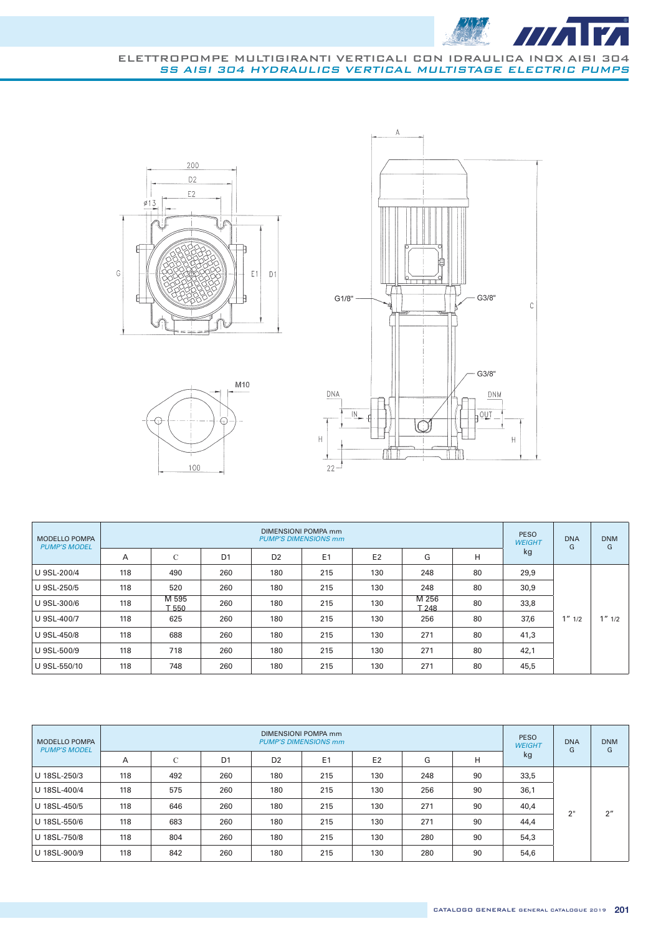

#### ELETTROPOMPE MULTIGIRANTI VERTICALI CON IDRAULICA INOX AISI 304 SS AISI 304 HYDRAULICS VERTICAL MULTISTAGE ELECTRIC PUMPS







| <b>MODELLO POMPA</b><br><b>PUMP'S MODEL</b> |     |                |                |                | DIMENSIONI POMPA mm<br><b>PUMP'S DIMENSIONS mm</b> |                |                |    | <b>PESO</b><br><b>WEIGHT</b> | <b>DNA</b><br>G | <b>DNM</b><br>G |
|---------------------------------------------|-----|----------------|----------------|----------------|----------------------------------------------------|----------------|----------------|----|------------------------------|-----------------|-----------------|
|                                             | A   | C              | D <sub>1</sub> | D <sub>2</sub> | E <sub>1</sub>                                     | E <sub>2</sub> | G              | н  | kg                           |                 |                 |
| U 9SL-200/4                                 | 118 | 490            | 260            | 180            | 215                                                | 130            | 248            | 80 | 29,9                         |                 |                 |
| U 9SL-250/5                                 | 118 | 520            | 260            | 180            | 215                                                | 130            | 248            | 80 | 30,9                         |                 |                 |
| U 9SL-300/6                                 | 118 | M 595<br>T 550 | 260            | 180            | 215                                                | 130            | M 256<br>T 248 | 80 | 33,8                         |                 |                 |
| U 9SL-400/7                                 | 118 | 625            | 260            | 180            | 215                                                | 130            | 256            | 80 | 37,6                         | $1''$ $1/2$     | $1''$ $1/2$     |
| U 9SL-450/8                                 | 118 | 688            | 260            | 180            | 215                                                | 130            | 271            | 80 | 41,3                         |                 |                 |
| U 9SL-500/9                                 | 118 | 718            | 260            | 180            | 215                                                | 130            | 271            | 80 | 42,1                         |                 |                 |
| U 9SL-550/10                                | 118 | 748            | 260            | 180            | 215                                                | 130            | 271            | 80 | 45,5                         |                 |                 |

| <b>MODELLO POMPA</b><br><b>PUMP'S MODEL</b> |     |     |                |                | <b>DIMENSIONI POMPA mm</b><br><b>PUMP'S DIMENSIONS mm</b> |                |     |    | <b>PESO</b><br><b>WEIGHT</b> | <b>DNA</b><br>G | <b>DNM</b><br>G |
|---------------------------------------------|-----|-----|----------------|----------------|-----------------------------------------------------------|----------------|-----|----|------------------------------|-----------------|-----------------|
|                                             | A   | C   | D <sub>1</sub> | D <sub>2</sub> | E <sub>1</sub>                                            | E <sub>2</sub> | G   | н  | kg                           |                 |                 |
| U 18SL-250/3                                | 118 | 492 | 260            | 180            | 215                                                       | 130            | 248 | 90 | 33,5                         |                 |                 |
| U 18SL-400/4                                | 118 | 575 | 260            | 180            | 215                                                       | 130            | 256 | 90 | 36,1                         |                 |                 |
| U 18SL-450/5                                | 118 | 646 | 260            | 180            | 215                                                       | 130            | 271 | 90 | 40,4                         | 2"              | 2 <sup>n</sup>  |
| U 18SL-550/6                                | 118 | 683 | 260            | 180            | 215                                                       | 130            | 271 | 90 | 44,4                         |                 |                 |
| U 18SL-750/8                                | 118 | 804 | 260            | 180            | 215                                                       | 130            | 280 | 90 | 54,3                         |                 |                 |
| U 18SL-900/9                                | 118 | 842 | 260            | 180            | 215                                                       | 130            | 280 | 90 | 54,6                         |                 |                 |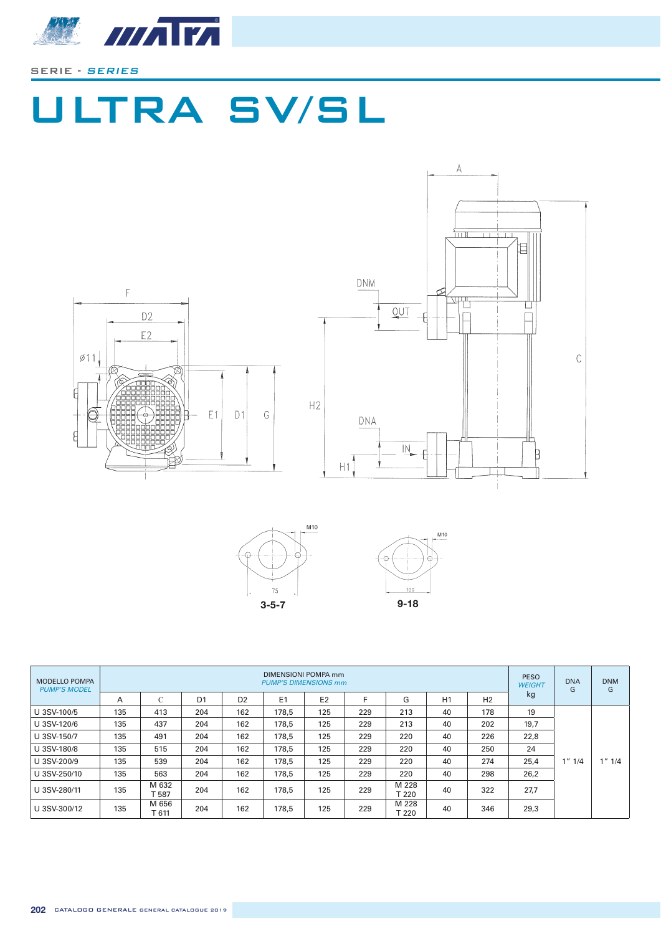

# ULTRA SV/SL







| <b>MODELLO POMPA</b><br><b>PUMP'S MODEL</b> |     |                 |                |                | DIMENSIONI POMPA mm<br><b>PUMP'S DIMENSIONS mm</b> |                |     |                |    |                | <b>PESO</b><br><b>WEIGHT</b> | <b>DNA</b><br>G | <b>DNM</b><br>G |
|---------------------------------------------|-----|-----------------|----------------|----------------|----------------------------------------------------|----------------|-----|----------------|----|----------------|------------------------------|-----------------|-----------------|
|                                             | A   | $\mathsf{C}$    | D <sub>1</sub> | D <sub>2</sub> | E <sub>1</sub>                                     | E <sub>2</sub> |     | G              | H1 | H <sub>2</sub> | kg                           |                 |                 |
| U 3SV-100/5                                 | 135 | 413             | 204            | 162            | 178.5                                              | 125            | 229 | 213            | 40 | 178            | 19                           |                 |                 |
| U 3SV-120/6                                 | 135 | 437             | 204            | 162            | 178.5                                              | 125            | 229 | 213            | 40 | 202            | 19,7                         |                 |                 |
| U 3SV-150/7                                 | 135 | 491             | 204            | 162            | 178.5                                              | 125            | 229 | 220            | 40 | 226            | 22,8                         |                 |                 |
| U 3SV-180/8                                 | 135 | 515             | 204            | 162            | 178.5                                              | 125            | 229 | 220            | 40 | 250            | 24                           |                 |                 |
| U 3SV-200/9                                 | 135 | 539             | 204            | 162            | 178.5                                              | 125            | 229 | 220            | 40 | 274            | 25,4                         | $1''$ $1/4$     | $1''$ $1/4$     |
| U 3SV-250/10                                | 135 | 563             | 204            | 162            | 178.5                                              | 125            | 229 | 220            | 40 | 298            | 26,2                         |                 |                 |
| U 3SV-280/11                                | 135 | M 632<br>- 587  | 204            | 162            | 178.5                                              | 125            | 229 | M 228<br>T 220 | 40 | 322            | 27,7                         |                 |                 |
| U 3SV-300/12                                | 135 | M 656<br>$-611$ | 204            | 162            | 178.5                                              | 125            | 229 | M 228<br>T 220 | 40 | 346            | 29,3                         |                 |                 |